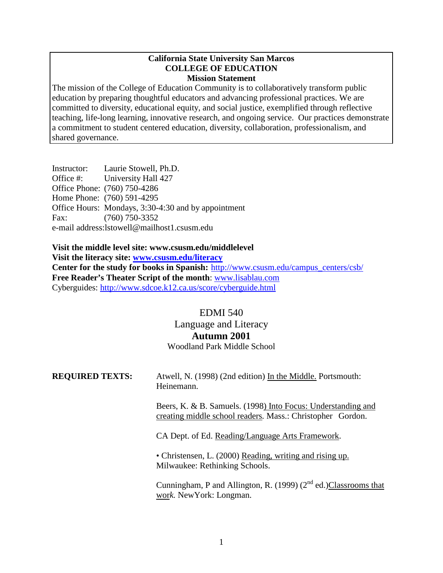#### **California State University San Marcos COLLEGE OF EDUCATION Mission Statement**

The mission of the College of Education Community is to collaboratively transform public education by preparing thoughtful educators and advancing professional practices. We are committed to diversity, educational equity, and social justice, exemplified through reflective teaching, life-long learning, innovative research, and ongoing service. Our practices demonstrate a commitment to student centered education, diversity, collaboration, professionalism, and shared governance.

Instructor: Laurie Stowell, Ph.D. Office #: University Hall 427 Office Phone: (760) 750-4286 Home Phone: (760) 591-4295 Office Hours: Mondays, 3:30-4:30 and by appointment Fax: (760) 750-3352 e-mail address:lstowell@mailhost1.csusm.edu

**Visit the middle level site: www.csusm.edu/middlelevel Visit the literacy site: [www.csusm.edu/literacy](http://www.csusm.edu/literacy) Center for the study for books in Spanish:** [http://www.csusm.edu/campus\\_centers/csb/](http://www.csusm.edu/campus_centers/csb/) **Free Reader's Theater Script of the month**: [www.lisablau.com](http://www.lisablau.com/) Cyberguides:<http://www.sdcoe.k12.ca.us/score/cyberguide.html>

# EDMI 540 Language and Literacy **Autumn 2001** Woodland Park Middle School

| <b>REQUIRED TEXTS:</b> | Atwell, N. (1998) (2nd edition) In the Middle. Portsmouth:<br>Heinemann.                                                   |
|------------------------|----------------------------------------------------------------------------------------------------------------------------|
|                        | Beers, K. & B. Samuels. (1998) Into Focus: Understanding and<br>creating middle school readers. Mass.: Christopher Gordon. |
|                        | CA Dept. of Ed. Reading/Language Arts Framework.                                                                           |
|                        | • Christensen, L. (2000) Reading, writing and rising up.<br>Milwaukee: Rethinking Schools.                                 |
|                        | Cunningham, P and Allington, R. (1999) $(2nd$ ed.)Classrooms that<br>work. New York: Longman.                              |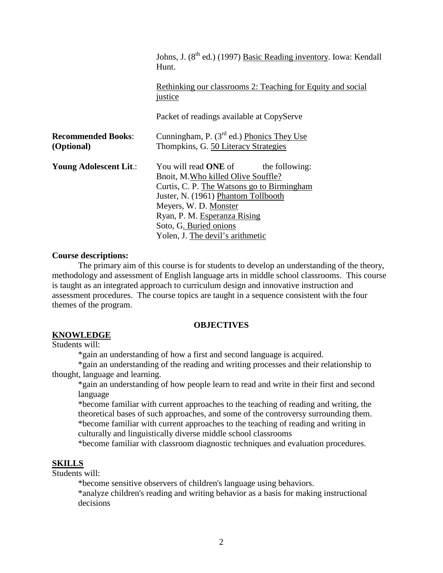|                                         | Johns, J. (8 <sup>th</sup> ed.) (1997) <u>Basic Reading inventory</u> . Iowa: Kendall<br>Hunt.                                                                                                                                                                                                   |  |  |
|-----------------------------------------|--------------------------------------------------------------------------------------------------------------------------------------------------------------------------------------------------------------------------------------------------------------------------------------------------|--|--|
|                                         | Rethinking our classrooms 2: Teaching for Equity and social<br><u>justice</u>                                                                                                                                                                                                                    |  |  |
|                                         | Packet of readings available at CopyServe                                                                                                                                                                                                                                                        |  |  |
| <b>Recommended Books:</b><br>(Optional) | Cunningham, P. $(3rd$ ed.) Phonics They Use<br>Thompkins, G. 50 Literacy Strategies                                                                                                                                                                                                              |  |  |
| Young Adolescent Lit.:                  | You will read <b>ONE</b> of<br>the following:<br>Bnoit, M. Who killed Olive Souffle?<br>Curtis, C. P. The Watsons go to Birmingham<br>Juster, N. (1961) Phantom Tollbooth<br>Meyers, W. D. Monster<br>Ryan, P. M. Esperanza Rising<br>Soto, G. Buried onions<br>Yolen, J. The devil's arithmetic |  |  |

#### **Course descriptions:**

The primary aim of this course is for students to develop an understanding of the theory, methodology and assessment of English language arts in middle school classrooms. This course is taught as an integrated approach to curriculum design and innovative instruction and assessment procedures. The course topics are taught in a sequence consistent with the four themes of the program.

#### **OBJECTIVES**

#### **KNOWLEDGE**

#### Students will:

\*gain an understanding of how a first and second language is acquired.

\*gain an understanding of the reading and writing processes and their relationship to thought, language and learning.

\*gain an understanding of how people learn to read and write in their first and second language

\*become familiar with current approaches to the teaching of reading and writing, the theoretical bases of such approaches, and some of the controversy surrounding them. \*become familiar with current approaches to the teaching of reading and writing in culturally and linguistically diverse middle school classrooms

\*become familiar with classroom diagnostic techniques and evaluation procedures.

# **SKILLS**

Students will:

\*become sensitive observers of children's language using behaviors.

\*analyze children's reading and writing behavior as a basis for making instructional decisions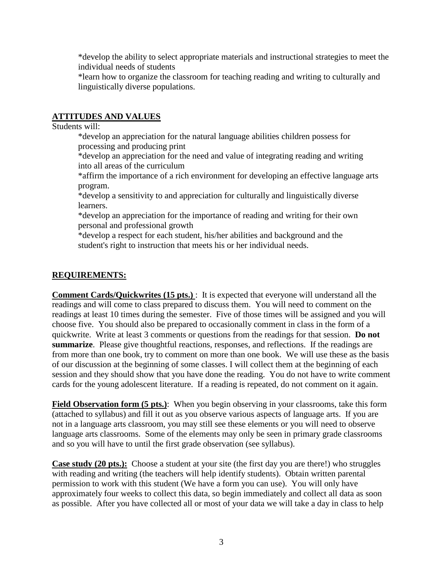\*develop the ability to select appropriate materials and instructional strategies to meet the individual needs of students

\*learn how to organize the classroom for teaching reading and writing to culturally and linguistically diverse populations.

# **ATTITUDES AND VALUES**

### Students will:

\*develop an appreciation for the natural language abilities children possess for processing and producing print

\*develop an appreciation for the need and value of integrating reading and writing into all areas of the curriculum

\*affirm the importance of a rich environment for developing an effective language arts program.

\*develop a sensitivity to and appreciation for culturally and linguistically diverse learners.

\*develop an appreciation for the importance of reading and writing for their own personal and professional growth

\*develop a respect for each student, his/her abilities and background and the student's right to instruction that meets his or her individual needs.

# **REQUIREMENTS:**

**Comment Cards/Quickwrites (15 pts.)** : It is expected that everyone will understand all the readings and will come to class prepared to discuss them. You will need to comment on the readings at least 10 times during the semester. Five of those times will be assigned and you will choose five. You should also be prepared to occasionally comment in class in the form of a quickwrite. Write at least 3 comments or questions from the readings for that session. **Do not summarize**. Please give thoughtful reactions, responses, and reflections. If the readings are from more than one book, try to comment on more than one book. We will use these as the basis of our discussion at the beginning of some classes. I will collect them at the beginning of each session and they should show that you have done the reading. You do not have to write comment cards for the young adolescent literature. If a reading is repeated, do not comment on it again.

**Field Observation form (5 pts.)**: When you begin observing in your classrooms, take this form (attached to syllabus) and fill it out as you observe various aspects of language arts. If you are not in a language arts classroom, you may still see these elements or you will need to observe language arts classrooms. Some of the elements may only be seen in primary grade classrooms and so you will have to until the first grade observation (see syllabus).

**Case study (20 pts.):** Choose a student at your site (the first day you are there!) who struggles with reading and writing (the teachers will help identify students). Obtain written parental permission to work with this student (We have a form you can use). You will only have approximately four weeks to collect this data, so begin immediately and collect all data as soon as possible. After you have collected all or most of your data we will take a day in class to help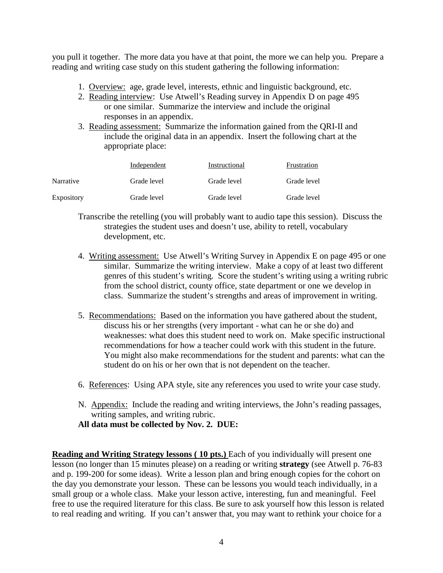you pull it together. The more data you have at that point, the more we can help you. Prepare a reading and writing case study on this student gathering the following information:

- 1. Overview: age, grade level, interests, ethnic and linguistic background, etc.
- 2. Reading interview: Use Atwell's Reading survey in Appendix D on page 495 or one similar. Summarize the interview and include the original responses in an appendix.
- 3. Reading assessment: Summarize the information gained from the QRI-II and include the original data in an appendix. Insert the following chart at the appropriate place:

|            | Independent | Instructional | Frustration |
|------------|-------------|---------------|-------------|
| Narrative  | Grade level | Grade level   | Grade level |
| Expository | Grade level | Grade level   | Grade level |

Transcribe the retelling (you will probably want to audio tape this session). Discuss the strategies the student uses and doesn't use, ability to retell, vocabulary development, etc.

- 4. Writing assessment: Use Atwell's Writing Survey in Appendix E on page 495 or one similar. Summarize the writing interview. Make a copy of at least two different genres of this student's writing. Score the student's writing using a writing rubric from the school district, county office, state department or one we develop in class. Summarize the student's strengths and areas of improvement in writing.
- 5. Recommendations: Based on the information you have gathered about the student, discuss his or her strengths (very important - what can he or she do) and weaknesses: what does this student need to work on. Make specific instructional recommendations for how a teacher could work with this student in the future. You might also make recommendations for the student and parents: what can the student do on his or her own that is not dependent on the teacher.
- 6. References: Using APA style, site any references you used to write your case study.
- N. Appendix: Include the reading and writing interviews, the John's reading passages, writing samples, and writing rubric. **All data must be collected by Nov. 2. DUE:**

**Reading and Writing Strategy lessons ( 10 pts.)** Each of you individually will present one lesson (no longer than 15 minutes please) on a reading or writing **strategy** (see Atwell p. 76-83 and p. 199-200 for some ideas). Write a lesson plan and bring enough copies for the cohort on the day you demonstrate your lesson. These can be lessons you would teach individually, in a small group or a whole class. Make your lesson active, interesting, fun and meaningful. Feel free to use the required literature for this class. Be sure to ask yourself how this lesson is related to real reading and writing. If you can't answer that, you may want to rethink your choice for a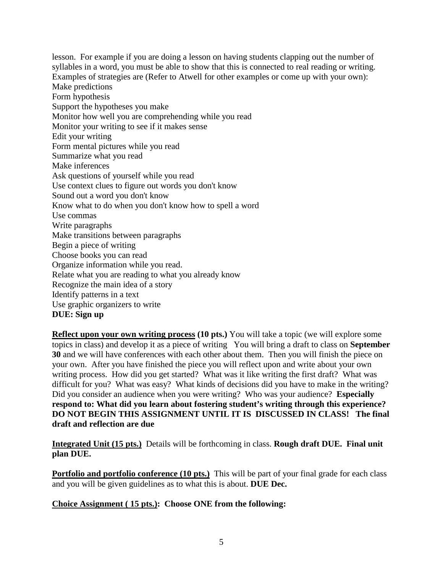lesson. For example if you are doing a lesson on having students clapping out the number of syllables in a word, you must be able to show that this is connected to real reading or writing. Examples of strategies are (Refer to Atwell for other examples or come up with your own): Make predictions Form hypothesis Support the hypotheses you make Monitor how well you are comprehending while you read Monitor your writing to see if it makes sense Edit your writing Form mental pictures while you read Summarize what you read Make inferences Ask questions of yourself while you read Use context clues to figure out words you don't know Sound out a word you don't know Know what to do when you don't know how to spell a word Use commas Write paragraphs Make transitions between paragraphs Begin a piece of writing Choose books you can read Organize information while you read. Relate what you are reading to what you already know Recognize the main idea of a story Identify patterns in a text Use graphic organizers to write **DUE: Sign up**

**Reflect upon your own writing process (10 pts.)** You will take a topic (we will explore some topics in class) and develop it as a piece of writing You will bring a draft to class on **September 30** and we will have conferences with each other about them. Then you will finish the piece on your own. After you have finished the piece you will reflect upon and write about your own writing process. How did you get started? What was it like writing the first draft? What was difficult for you? What was easy? What kinds of decisions did you have to make in the writing? Did you consider an audience when you were writing? Who was your audience? **Especially respond to: What did you learn about fostering student's writing through this experience? DO NOT BEGIN THIS ASSIGNMENT UNTIL IT IS DISCUSSED IN CLASS! The final draft and reflection are due** 

**Integrated Unit (15 pts.)** Details will be forthcoming in class. **Rough draft DUE. Final unit plan DUE.**

**Portfolio and portfolio conference (10 pts.)** This will be part of your final grade for each class and you will be given guidelines as to what this is about. **DUE Dec.** 

# **Choice Assignment ( 15 pts.): Choose ONE from the following:**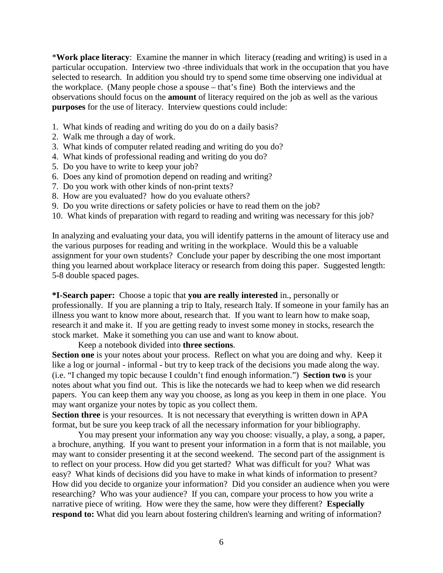\***Work place literacy**: Examine the manner in which literacy (reading and writing) is used in a particular occupation. Interview two -three individuals that work in the occupation that you have selected to research. In addition you should try to spend some time observing one individual at the workplace. (Many people chose a spouse – that's fine) Both the interviews and the observations should focus on the **amount** of literacy required on the job as well as the various **purposes** for the use of literacy. Interview questions could include:

- 1. What kinds of reading and writing do you do on a daily basis?
- 2. Walk me through a day of work.
- 3. What kinds of computer related reading and writing do you do?
- 4. What kinds of professional reading and writing do you do?
- 5. Do you have to write to keep your job?
- 6. Does any kind of promotion depend on reading and writing?
- 7. Do you work with other kinds of non-print texts?
- 8. How are you evaluated? how do you evaluate others?
- 9. Do you write directions or safety policies or have to read them on the job?
- 10. What kinds of preparation with regard to reading and writing was necessary for this job?

In analyzing and evaluating your data, you will identify patterns in the amount of literacy use and the various purposes for reading and writing in the workplace. Would this be a valuable assignment for your own students? Conclude your paper by describing the one most important thing you learned about workplace literacy or research from doing this paper. Suggested length: 5-8 double spaced pages.

**\*I-Search paper:** Choose a topic that **you are really interested** in., personally or professionally. If you are planning a trip to Italy, research Italy. If someone in your family has an illness you want to know more about, research that. If you want to learn how to make soap, research it and make it. If you are getting ready to invest some money in stocks, research the stock market. Make it something you can use and want to know about.

Keep a notebook divided into **three sections**.

**Section one** is your notes about your process. Reflect on what you are doing and why. Keep it like a log or journal - informal - but try to keep track of the decisions you made along the way. (i.e. "I changed my topic because I couldn't find enough information.") **Section two** is your notes about what you find out. This is like the notecards we had to keep when we did research papers. You can keep them any way you choose, as long as you keep in them in one place. You may want organize your notes by topic as you collect them.

**Section three** is your resources. It is not necessary that everything is written down in APA format, but be sure you keep track of all the necessary information for your bibliography.

You may present your information any way you choose: visually, a play, a song, a paper, a brochure, anything. If you want to present your information in a form that is not mailable, you may want to consider presenting it at the second weekend. The second part of the assignment is to reflect on your process. How did you get started? What was difficult for you? What was easy? What kinds of decisions did you have to make in what kinds of information to present? How did you decide to organize your information? Did you consider an audience when you were researching? Who was your audience? If you can, compare your process to how you write a narrative piece of writing. How were they the same, how were they different? **Especially respond to:** What did you learn about fostering children's learning and writing of information?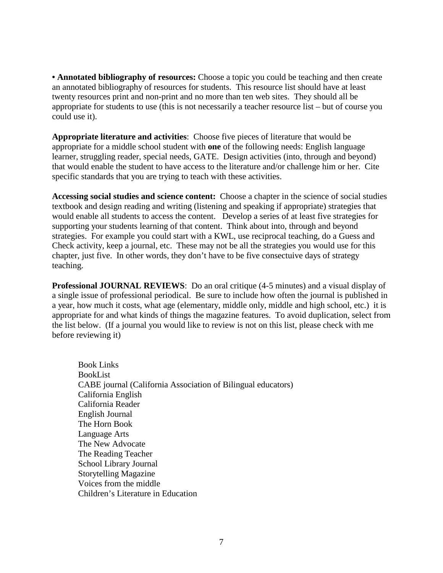**• Annotated bibliography of resources:** Choose a topic you could be teaching and then create an annotated bibliography of resources for students. This resource list should have at least twenty resources print and non-print and no more than ten web sites. They should all be appropriate for students to use (this is not necessarily a teacher resource list – but of course you could use it).

**Appropriate literature and activities**: Choose five pieces of literature that would be appropriate for a middle school student with **one** of the following needs: English language learner, struggling reader, special needs, GATE. Design activities (into, through and beyond) that would enable the student to have access to the literature and/or challenge him or her. Cite specific standards that you are trying to teach with these activities.

**Accessing social studies and science content:** Choose a chapter in the science of social studies textbook and design reading and writing (listening and speaking if appropriate) strategies that would enable all students to access the content. Develop a series of at least five strategies for supporting your students learning of that content. Think about into, through and beyond strategies. For example you could start with a KWL, use reciprocal teaching, do a Guess and Check activity, keep a journal, etc. These may not be all the strategies you would use for this chapter, just five. In other words, they don't have to be five consectuive days of strategy teaching.

**Professional JOURNAL REVIEWS**: Do an oral critique (4-5 minutes) and a visual display of a single issue of professional periodical. Be sure to include how often the journal is published in a year, how much it costs, what age (elementary, middle only, middle and high school, etc.) it is appropriate for and what kinds of things the magazine features. To avoid duplication, select from the list below. (If a journal you would like to review is not on this list, please check with me before reviewing it)

Book Links BookList CABE journal (California Association of Bilingual educators) California English California Reader English Journal The Horn Book Language Arts The New Advocate The Reading Teacher School Library Journal Storytelling Magazine Voices from the middle Children's Literature in Education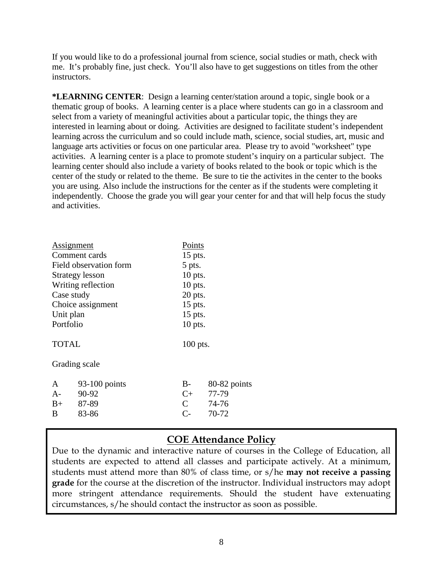If you would like to do a professional journal from science, social studies or math, check with me. It's probably fine, just check. You'll also have to get suggestions on titles from the other instructors.

**\*LEARNING CENTER**: Design a learning center/station around a topic, single book or a thematic group of books. A learning center is a place where students can go in a classroom and select from a variety of meaningful activities about a particular topic, the things they are interested in learning about or doing. Activities are designed to facilitate student's independent learning across the curriculum and so could include math, science, social studies, art, music and language arts activities or focus on one particular area. Please try to avoid "worksheet" type activities. A learning center is a place to promote student's inquiry on a particular subject. The learning center should also include a variety of books related to the book or topic which is the center of the study or related to the theme. Be sure to tie the activites in the center to the books you are using. Also include the instructions for the center as if the students were completing it independently. Choose the grade you will gear your center for and that will help focus the study and activities.

| <b>Assignment</b>      |                 | Points      |              |  |  |
|------------------------|-----------------|-------------|--------------|--|--|
| Comment cards          |                 | 15 pts.     |              |  |  |
| Field observation form |                 | 5 pts.      |              |  |  |
| <b>Strategy lesson</b> |                 | 10 pts.     |              |  |  |
| Writing reflection     |                 | $10$ pts.   |              |  |  |
| Case study             |                 | 20 pts.     |              |  |  |
| Choice assignment      |                 | 15 pts.     |              |  |  |
| Unit plan              |                 | 15 pts.     |              |  |  |
| Portfolio              |                 | $10$ pts.   |              |  |  |
| TOTAL                  |                 | 100 pts.    |              |  |  |
| Grading scale          |                 |             |              |  |  |
| A                      | $93-100$ points | $B-$        | 80-82 points |  |  |
| $A-$                   | 90-92           | $C_{+}$     | 77-79        |  |  |
| $B+$                   | 87-89           | $C = 74-76$ |              |  |  |
| B                      | 83-86           | $C-$        | 70-72        |  |  |

# **COE Attendance Policy**

Due to the dynamic and interactive nature of courses in the College of Education, all students are expected to attend all classes and participate actively. At a minimum, students must attend more than 80% of class time, or s/he **may not receive a passing grade** for the course at the discretion of the instructor. Individual instructors may adopt more stringent attendance requirements. Should the student have extenuating circumstances, s/he should contact the instructor as soon as possible.